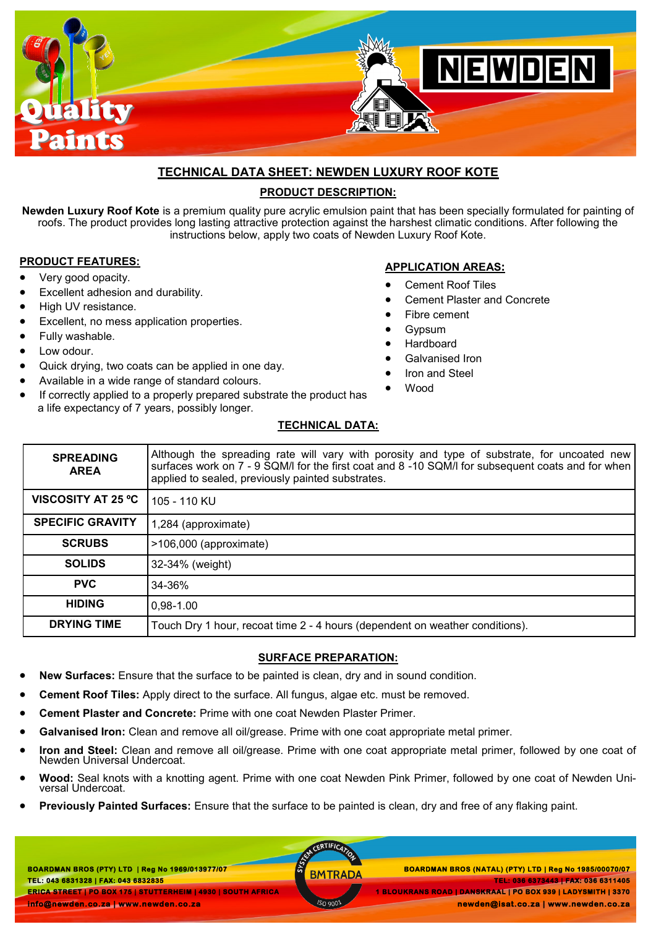

# **TECHNICAL DATA SHEET: NEWDEN LUXURY ROOF KOTE**

### **PRODUCT DESCRIPTION:**

**Newden Luxury Roof Kote** is a premium quality pure acrylic emulsion paint that has been specially formulated for painting of roofs. The product provides long lasting attractive protection against the harshest climatic conditions. After following the instructions below, apply two coats of Newden Luxury Roof Kote.

#### **PRODUCT FEATURES:**

- Very good opacity.
- Excellent adhesion and durability.
- High UV resistance.
- Excellent, no mess application properties.
- Fully washable.
- Low odour.
- Quick drying, two coats can be applied in one day.
- Available in a wide range of standard colours.
- If correctly applied to a properly prepared substrate the product has a life expectancy of 7 years, possibly longer.

### **APPLICATION AREAS:**

- Cement Roof Tiles
- Cement Plaster and Concrete
- Fibre cement
- Gypsum
- Hardboard
- Galvanised Iron
- Iron and Steel
- Wood

### **TECHNICAL DATA:**

| <b>SPREADING</b><br><b>AREA</b> | Although the spreading rate will vary with porosity and type of substrate, for uncoated new<br>surfaces work on 7 - 9 SQM/I for the first coat and 8 -10 SQM/I for subsequent coats and for when<br>applied to sealed, previously painted substrates. |
|---------------------------------|-------------------------------------------------------------------------------------------------------------------------------------------------------------------------------------------------------------------------------------------------------|
| <b>VISCOSITY AT 25 °C</b>       | 105 - 110 KU                                                                                                                                                                                                                                          |
| <b>SPECIFIC GRAVITY</b>         | 1,284 (approximate)                                                                                                                                                                                                                                   |
| <b>SCRUBS</b>                   | >106,000 (approximate)                                                                                                                                                                                                                                |
| <b>SOLIDS</b>                   | 32-34% (weight)                                                                                                                                                                                                                                       |
| <b>PVC</b>                      | 34-36%                                                                                                                                                                                                                                                |
| <b>HIDING</b>                   | $0,98-1.00$                                                                                                                                                                                                                                           |
| <b>DRYING TIME</b>              | Touch Dry 1 hour, recoat time 2 - 4 hours (dependent on weather conditions).                                                                                                                                                                          |

### **SURFACE PREPARATION:**

- **New Surfaces:** Ensure that the surface to be painted is clean, dry and in sound condition.
- **Cement Roof Tiles:** Apply direct to the surface. All fungus, algae etc. must be removed.
- **Cement Plaster and Concrete:** Prime with one coat Newden Plaster Primer.
- **Galvanised Iron:** Clean and remove all oil/grease. Prime with one coat appropriate metal primer.
- **Iron and Steel:** Clean and remove all oil/grease. Prime with one coat appropriate metal primer, followed by one coat of Newden Universal Undercoat.
- **Wood:** Seal knots with a knotting agent. Prime with one coat Newden Pink Primer, followed by one coat of Newden Universal Undercoat.

CERTIFICAT

**Previously Painted Surfaces:** Ensure that the surface to be painted is clean, dry and free of any flaking paint.

**BOARDMAN BROS (PTY) LTD | Reg No 1969/013977/07 TEL: 043 6831328 | FAX: 043 6832835 BOARDMAN BROS (PTY) LTD | Reg No 1969/013977/07 BOARDMAN BROS (NATAL) (PTY) LTD | Reg No 1985/00070/07 ERICA STREET | PO BOX 175 | STUTTERHEIM | 4930 | SOUTH AFRICA info@newden.co.za | www.newden.co.za** 

**1 BLOUKRANS ROAD | DANSKRAAL | PO BOX 939 | LADYSMITH | 3370** 

 **newden@isat.co.za | www.newden.co.za** 

 **TEL: 036 6373443 | FAX: 036 6311405**